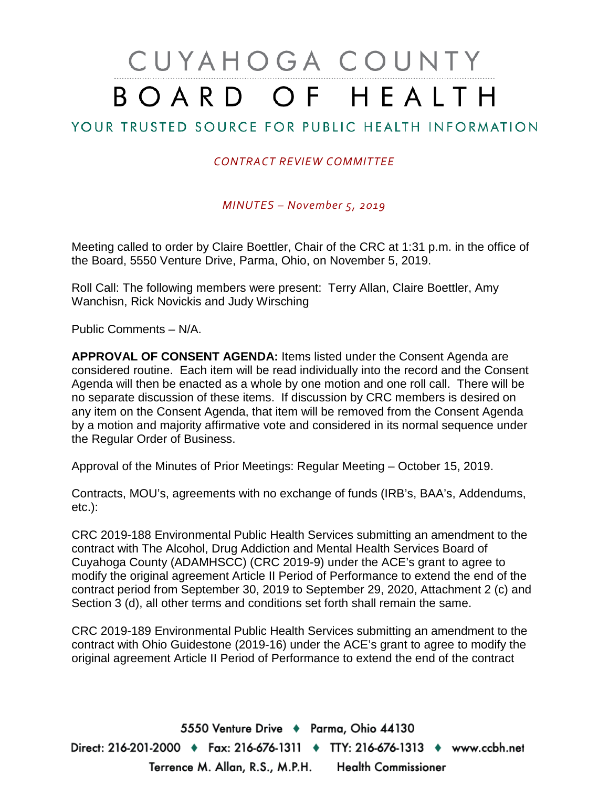## CUYAHOGA COUNTY BOARD OF HEALTH

## YOUR TRUSTED SOURCE FOR PUBLIC HEALTH INFORMATION

## *CONTRACT REVIEW COMMITTEE*

*MINUTES – November 5, 2019*

Meeting called to order by Claire Boettler, Chair of the CRC at 1:31 p.m. in the office of the Board, 5550 Venture Drive, Parma, Ohio, on November 5, 2019.

Roll Call: The following members were present: Terry Allan, Claire Boettler, Amy Wanchisn, Rick Novickis and Judy Wirsching

Public Comments – N/A.

**APPROVAL OF CONSENT AGENDA:** Items listed under the Consent Agenda are considered routine. Each item will be read individually into the record and the Consent Agenda will then be enacted as a whole by one motion and one roll call. There will be no separate discussion of these items. If discussion by CRC members is desired on any item on the Consent Agenda, that item will be removed from the Consent Agenda by a motion and majority affirmative vote and considered in its normal sequence under the Regular Order of Business.

Approval of the Minutes of Prior Meetings: Regular Meeting – October 15, 2019.

Contracts, MOU's, agreements with no exchange of funds (IRB's, BAA's, Addendums, etc.):

CRC 2019-188 Environmental Public Health Services submitting an amendment to the contract with The Alcohol, Drug Addiction and Mental Health Services Board of Cuyahoga County (ADAMHSCC) (CRC 2019-9) under the ACE's grant to agree to modify the original agreement Article II Period of Performance to extend the end of the contract period from September 30, 2019 to September 29, 2020, Attachment 2 (c) and Section 3 (d), all other terms and conditions set forth shall remain the same.

CRC 2019-189 Environmental Public Health Services submitting an amendment to the contract with Ohio Guidestone (2019-16) under the ACE's grant to agree to modify the original agreement Article II Period of Performance to extend the end of the contract

5550 Venture Drive + Parma, Ohio 44130 Direct: 216-201-2000 ♦ Fax: 216-676-1311 ♦ TTY: 216-676-1313 ♦ www.ccbh.net Terrence M. Allan, R.S., M.P.H. Health Commissioner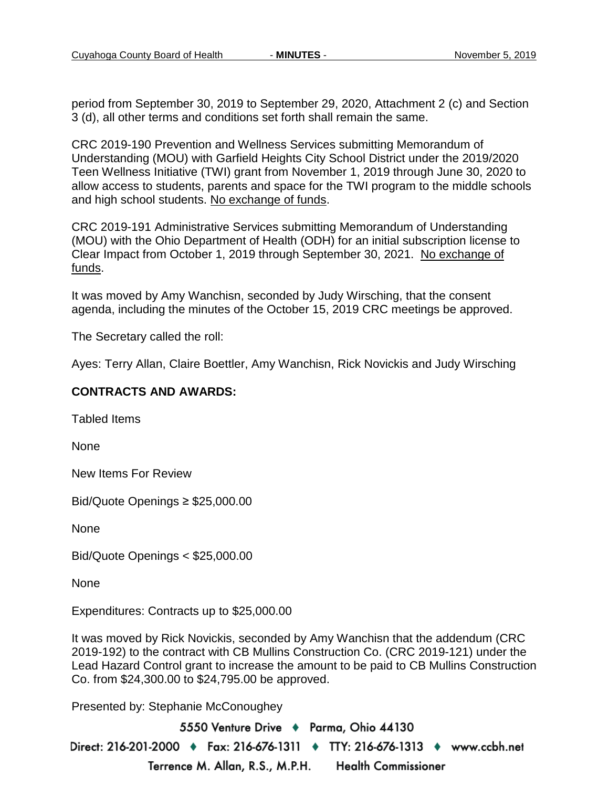period from September 30, 2019 to September 29, 2020, Attachment 2 (c) and Section 3 (d), all other terms and conditions set forth shall remain the same.

CRC 2019-190 Prevention and Wellness Services submitting Memorandum of Understanding (MOU) with Garfield Heights City School District under the 2019/2020 Teen Wellness Initiative (TWI) grant from November 1, 2019 through June 30, 2020 to allow access to students, parents and space for the TWI program to the middle schools and high school students. No exchange of funds.

CRC 2019-191 Administrative Services submitting Memorandum of Understanding (MOU) with the Ohio Department of Health (ODH) for an initial subscription license to Clear Impact from October 1, 2019 through September 30, 2021. No exchange of funds.

It was moved by Amy Wanchisn, seconded by Judy Wirsching, that the consent agenda, including the minutes of the October 15, 2019 CRC meetings be approved.

The Secretary called the roll:

Ayes: Terry Allan, Claire Boettler, Amy Wanchisn, Rick Novickis and Judy Wirsching

## **CONTRACTS AND AWARDS:**

Tabled Items

None

New Items For Review

Bid/Quote Openings ≥ \$25,000.00

None

Bid/Quote Openings < \$25,000.00

None

Expenditures: Contracts up to \$25,000.00

It was moved by Rick Novickis, seconded by Amy Wanchisn that the addendum (CRC 2019-192) to the contract with CB Mullins Construction Co. (CRC 2019-121) under the Lead Hazard Control grant to increase the amount to be paid to CB Mullins Construction Co. from \$24,300.00 to \$24,795.00 be approved.

Presented by: Stephanie McConoughey

5550 Venture Drive + Parma, Ohio 44130 Direct: 216-201-2000 ♦ Fax: 216-676-1311 ♦ TTY: 216-676-1313 ♦ www.ccbh.net Terrence M. Allan, R.S., M.P.H. **Health Commissioner**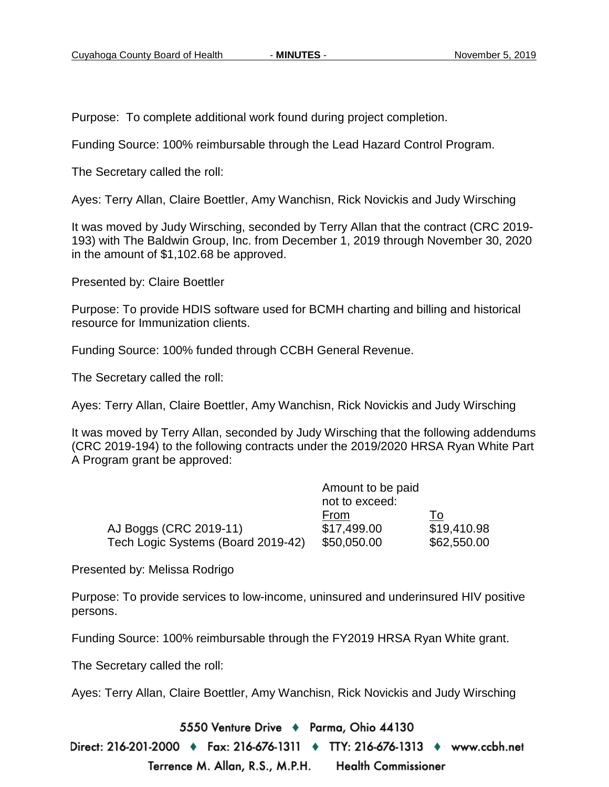Purpose: To complete additional work found during project completion.

Funding Source: 100% reimbursable through the Lead Hazard Control Program.

The Secretary called the roll:

Ayes: Terry Allan, Claire Boettler, Amy Wanchisn, Rick Novickis and Judy Wirsching

It was moved by Judy Wirsching, seconded by Terry Allan that the contract (CRC 2019- 193) with The Baldwin Group, Inc. from December 1, 2019 through November 30, 2020 in the amount of \$1,102.68 be approved.

Presented by: Claire Boettler

Purpose: To provide HDIS software used for BCMH charting and billing and historical resource for Immunization clients.

Funding Source: 100% funded through CCBH General Revenue.

The Secretary called the roll:

Ayes: Terry Allan, Claire Boettler, Amy Wanchisn, Rick Novickis and Judy Wirsching

It was moved by Terry Allan, seconded by Judy Wirsching that the following addendums (CRC 2019-194) to the following contracts under the 2019/2020 HRSA Ryan White Part A Program grant be approved:

|                                    | Amount to be paid |             |
|------------------------------------|-------------------|-------------|
|                                    | not to exceed:    |             |
|                                    | From              | 1o          |
| AJ Boggs (CRC 2019-11)             | \$17,499.00       | \$19,410.98 |
| Tech Logic Systems (Board 2019-42) | \$50,050.00       | \$62,550.00 |

Presented by: Melissa Rodrigo

Purpose: To provide services to low-income, uninsured and underinsured HIV positive persons.

Funding Source: 100% reimbursable through the FY2019 HRSA Ryan White grant.

The Secretary called the roll:

Ayes: Terry Allan, Claire Boettler, Amy Wanchisn, Rick Novickis and Judy Wirsching

5550 Venture Drive + Parma, Ohio 44130

Direct: 216-201-2000 ♦ Fax: 216-676-1311 ♦ TTY: 216-676-1313 ♦ www.ccbh.net Terrence M. Allan, R.S., M.P.H. **Health Commissioner**